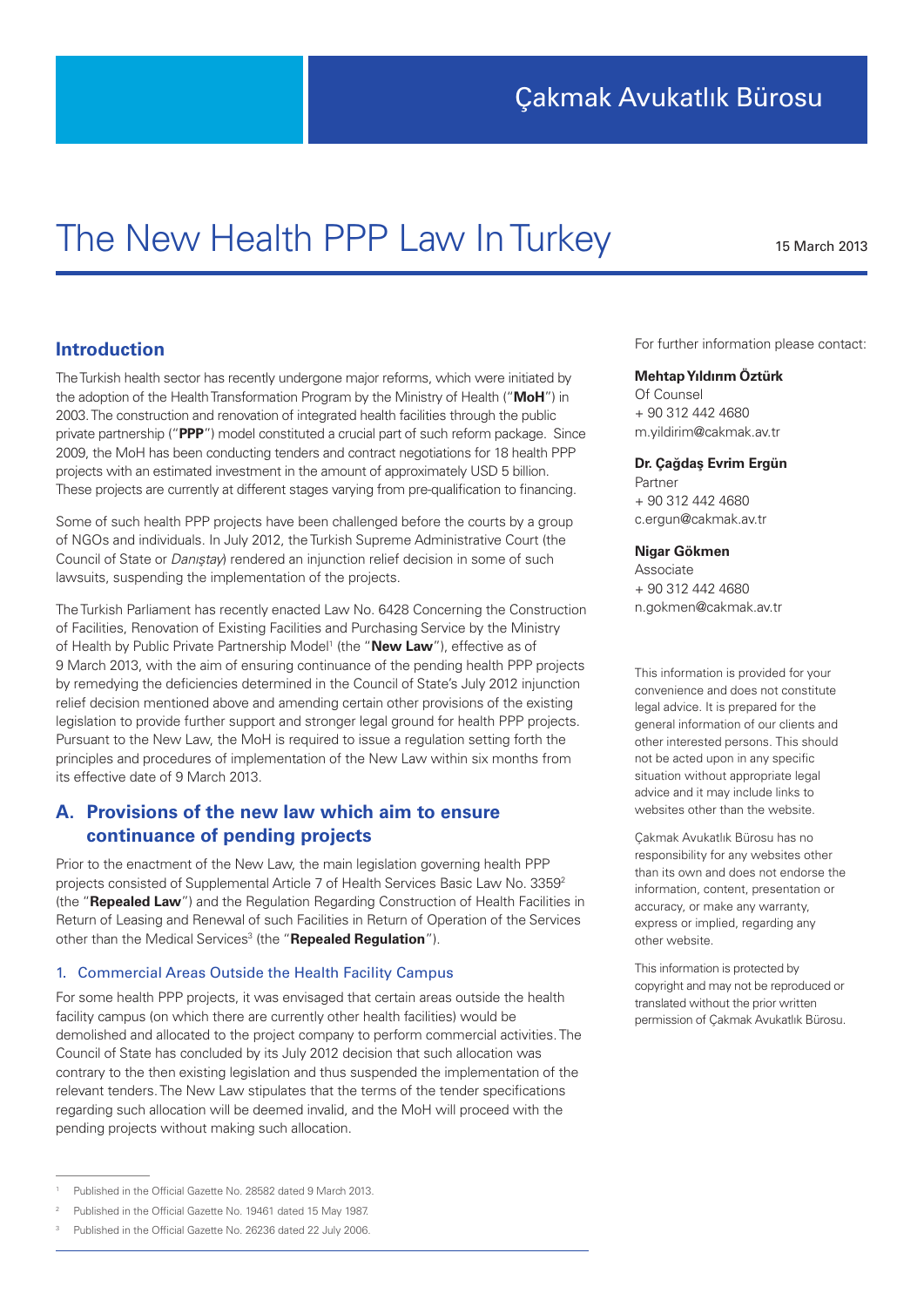# The New Health PPP Law In Turkey 15 March 2013

## **Introduction**

The Turkish health sector has recently undergone major reforms, which were initiated by the adoption of the Health Transformation Program by the Ministry of Health ("**MoH**") in 2003. The construction and renovation of integrated health facilities through the public private partnership ("**PPP**") model constituted a crucial part of such reform package. Since 2009, the MoH has been conducting tenders and contract negotiations for 18 health PPP projects with an estimated investment in the amount of approximately USD 5 billion. These projects are currently at different stages varying from pre-qualification to financing.

Some of such health PPP projects have been challenged before the courts by a group of NGOs and individuals. In July 2012, the Turkish Supreme Administrative Court (the Council of State or *Danıştay*) rendered an injunction relief decision in some of such lawsuits, suspending the implementation of the projects.

The Turkish Parliament has recently enacted Law No. 6428 Concerning the Construction of Facilities, Renovation of Existing Facilities and Purchasing Service by the Ministry of Health by Public Private Partnership Model<sup>1</sup> (the "New Law"), effective as of 9 March 2013, with the aim of ensuring continuance of the pending health PPP projects by remedying the deficiencies determined in the Council of State's July 2012 injunction relief decision mentioned above and amending certain other provisions of the existing legislation to provide further support and stronger legal ground for health PPP projects. Pursuant to the New Law, the MoH is required to issue a regulation setting forth the principles and procedures of implementation of the New Law within six months from its effective date of 9 March 2013.

## **A. Provisions of the new law which aim to ensure continuance of pending projects**

Prior to the enactment of the New Law, the main legislation governing health PPP projects consisted of Supplemental Article 7 of Health Services Basic Law No. 33592 (the "**Repealed Law**") and the Regulation Regarding Construction of Health Facilities in Return of Leasing and Renewal of such Facilities in Return of Operation of the Services other than the Medical Services<sup>3</sup> (the "Repealed Regulation").

#### 1. Commercial Areas Outside the Health Facility Campus

For some health PPP projects, it was envisaged that certain areas outside the health facility campus (on which there are currently other health facilities) would be demolished and allocated to the project company to perform commercial activities. The Council of State has concluded by its July 2012 decision that such allocation was contrary to the then existing legislation and thus suspended the implementation of the relevant tenders. The New Law stipulates that the terms of the tender specifications regarding such allocation will be deemed invalid, and the MoH will proceed with the pending projects without making such allocation.

For further information please contact:

#### **Mehtap Yıldırım Öztürk**

Of Counsel + 90 312 442 4680 m.yildirim@cakmak.av.tr

#### **Dr. Çağdaş Evrim Ergün**

Partner + 90 312 442 4680 c.ergun@cakmak.av.tr

#### **Nigar Gökmen**

Associate + 90 312 442 4680 n.gokmen@cakmak.av.tr

This information is provided for your convenience and does not constitute legal advice. It is prepared for the general information of our clients and other interested persons. This should not be acted upon in any specific situation without appropriate legal advice and it may include links to websites other than the website.

Çakmak Avukatlık Bürosu has no responsibility for any websites other than its own and does not endorse the information, content, presentation or accuracy, or make any warranty, express or implied, regarding any other website.

This information is protected by copyright and may not be reproduced or translated without the prior written permission of Çakmak Avukatlık Bürosu.

<sup>1</sup> Published in the Official Gazette No. 28582 dated 9 March 2013.

<sup>2</sup> Published in the Official Gazette No. 19461 dated 15 May 1987.

<sup>3</sup> Published in the Official Gazette No. 26236 dated 22 July 2006.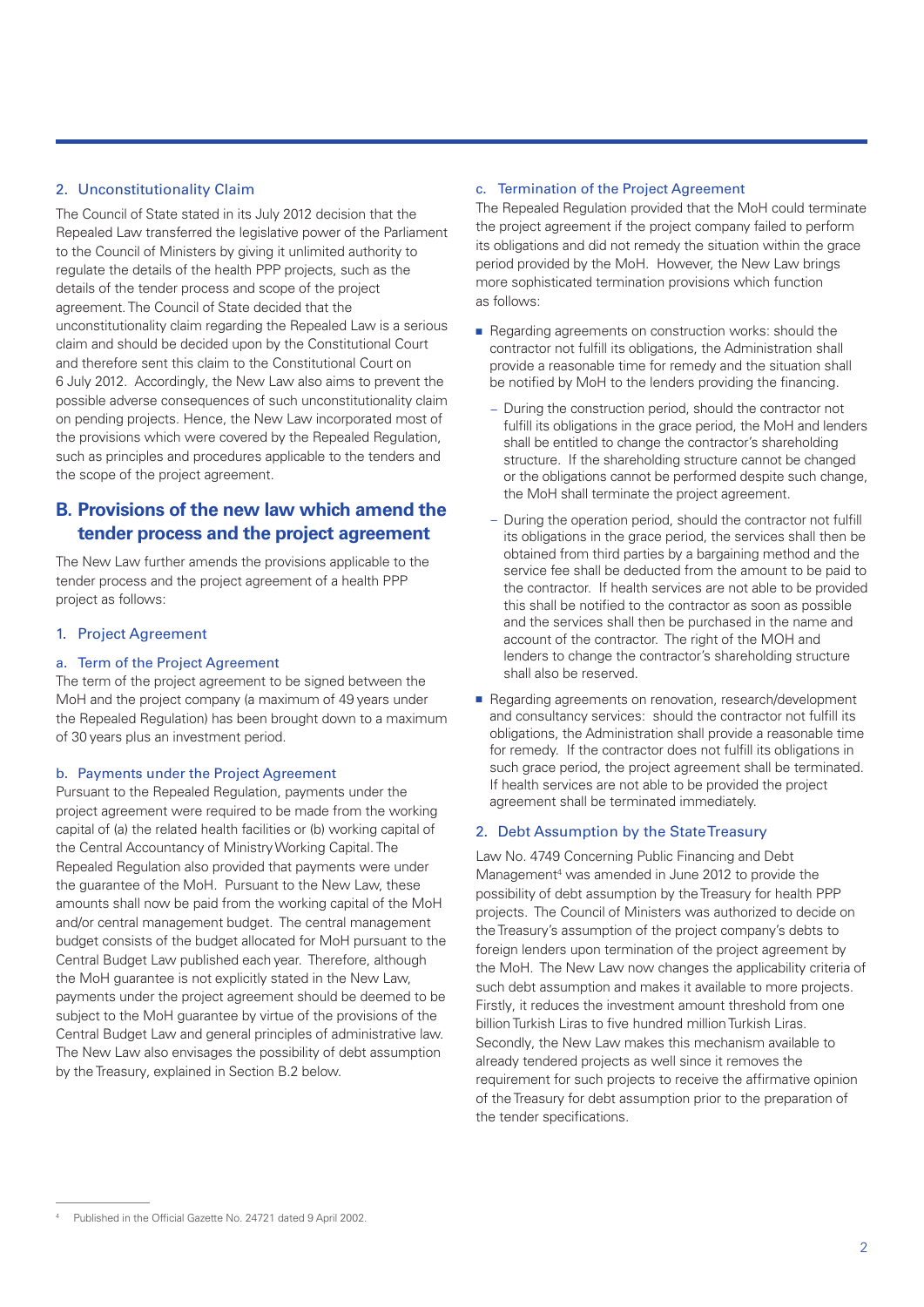### 2. Unconstitutionality Claim

The Council of State stated in its July 2012 decision that the Repealed Law transferred the legislative power of the Parliament to the Council of Ministers by giving it unlimited authority to regulate the details of the health PPP projects, such as the details of the tender process and scope of the project agreement. The Council of State decided that the unconstitutionality claim regarding the Repealed Law is a serious claim and should be decided upon by the Constitutional Court and therefore sent this claim to the Constitutional Court on 6 July 2012. Accordingly, the New Law also aims to prevent the possible adverse consequences of such unconstitutionality claim on pending projects. Hence, the New Law incorporated most of the provisions which were covered by the Repealed Regulation, such as principles and procedures applicable to the tenders and the scope of the project agreement.

## **B. Provisions of the new law which amend the tender process and the project agreement**

The New Law further amends the provisions applicable to the tender process and the project agreement of a health PPP project as follows:

#### 1. Project Agreement

#### a. Term of the Project Agreement

The term of the project agreement to be signed between the MoH and the project company (a maximum of 49 years under the Repealed Regulation) has been brought down to a maximum of 30 years plus an investment period.

#### b. Payments under the Project Agreement

Pursuant to the Repealed Regulation, payments under the project agreement were required to be made from the working capital of (a) the related health facilities or (b) working capital of the Central Accountancy of Ministry Working Capital. The Repealed Regulation also provided that payments were under the guarantee of the MoH. Pursuant to the New Law, these amounts shall now be paid from the working capital of the MoH and/or central management budget. The central management budget consists of the budget allocated for MoH pursuant to the Central Budget Law published each year. Therefore, although the MoH guarantee is not explicitly stated in the New Law, payments under the project agreement should be deemed to be subject to the MoH guarantee by virtue of the provisions of the Central Budget Law and general principles of administrative law. The New Law also envisages the possibility of debt assumption by the Treasury, explained in Section B.2 below.

#### c. Termination of the Project Agreement

The Repealed Regulation provided that the MoH could terminate the project agreement if the project company failed to perform its obligations and did not remedy the situation within the grace period provided by the MoH. However, the New Law brings more sophisticated termination provisions which function as follows:

- Regarding agreements on construction works: should the contractor not fulfill its obligations, the Administration shall provide a reasonable time for remedy and the situation shall be notified by MoH to the lenders providing the financing.
	- **—** During the construction period, should the contractor not fulfill its obligations in the grace period, the MoH and lenders shall be entitled to change the contractor's shareholding structure. If the shareholding structure cannot be changed or the obligations cannot be performed despite such change, the MoH shall terminate the project agreement.
	- **—** During the operation period, should the contractor not fulfill its obligations in the grace period, the services shall then be obtained from third parties by a bargaining method and the service fee shall be deducted from the amount to be paid to the contractor. If health services are not able to be provided this shall be notified to the contractor as soon as possible and the services shall then be purchased in the name and account of the contractor. The right of the MOH and lenders to change the contractor's shareholding structure shall also be reserved.
- Regarding agreements on renovation, research/development and consultancy services: should the contractor not fulfill its obligations, the Administration shall provide a reasonable time for remedy. If the contractor does not fulfill its obligations in such grace period, the project agreement shall be terminated. If health services are not able to be provided the project agreement shall be terminated immediately.

#### 2. Debt Assumption by the State Treasury

Law No. 4749 Concerning Public Financing and Debt Management<sup>4</sup> was amended in June 2012 to provide the possibility of debt assumption by the Treasury for health PPP projects. The Council of Ministers was authorized to decide on the Treasury's assumption of the project company's debts to foreign lenders upon termination of the project agreement by the MoH. The New Law now changes the applicability criteria of such debt assumption and makes it available to more projects. Firstly, it reduces the investment amount threshold from one billion Turkish Liras to five hundred million Turkish Liras. Secondly, the New Law makes this mechanism available to already tendered projects as well since it removes the requirement for such projects to receive the affirmative opinion of the Treasury for debt assumption prior to the preparation of the tender specifications.

Published in the Official Gazette No. 24721 dated 9 April 2002.